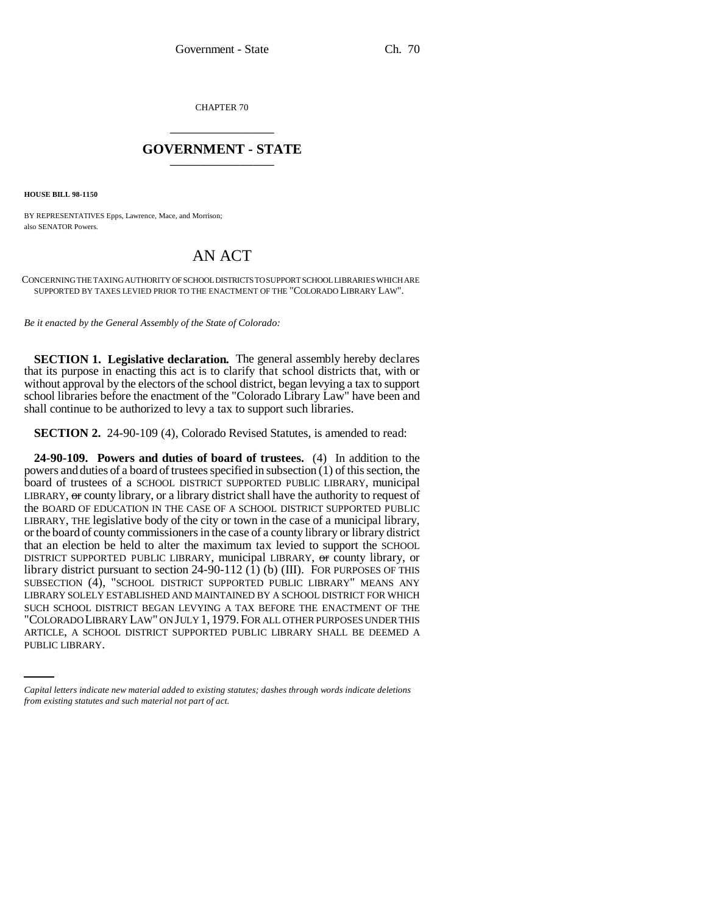CHAPTER 70 \_\_\_\_\_\_\_\_\_\_\_\_\_\_\_

## **GOVERNMENT - STATE** \_\_\_\_\_\_\_\_\_\_\_\_\_\_\_

**HOUSE BILL 98-1150**

BY REPRESENTATIVES Epps, Lawrence, Mace, and Morrison; also SENATOR Powers.

## AN ACT

CONCERNING THE TAXING AUTHORITY OF SCHOOL DISTRICTS TO SUPPORT SCHOOL LIBRARIES WHICH ARE SUPPORTED BY TAXES LEVIED PRIOR TO THE ENACTMENT OF THE "COLORADO LIBRARY LAW".

*Be it enacted by the General Assembly of the State of Colorado:*

**SECTION 1. Legislative declaration.** The general assembly hereby declares that its purpose in enacting this act is to clarify that school districts that, with or without approval by the electors of the school district, began levying a tax to support school libraries before the enactment of the "Colorado Library Law" have been and shall continue to be authorized to levy a tax to support such libraries.

**SECTION 2.** 24-90-109 (4), Colorado Revised Statutes, is amended to read:

"COLORADO LIBRARY LAW" ON JULY 1, 1979.FOR ALL OTHER PURPOSES UNDER THIS **24-90-109. Powers and duties of board of trustees.** (4) In addition to the powers and duties of a board of trustees specified in subsection (1) of this section, the board of trustees of a SCHOOL DISTRICT SUPPORTED PUBLIC LIBRARY, municipal LIBRARY, or county library, or a library district shall have the authority to request of the BOARD OF EDUCATION IN THE CASE OF A SCHOOL DISTRICT SUPPORTED PUBLIC LIBRARY, THE legislative body of the city or town in the case of a municipal library, or the board of county commissioners in the case of a county library or library district that an election be held to alter the maximum tax levied to support the SCHOOL DISTRICT SUPPORTED PUBLIC LIBRARY, municipal LIBRARY, or county library, or library district pursuant to section 24-90-112  $(1)$  (b)  $(III)$ . For PURPOSES OF THIS SUBSECTION (4), "SCHOOL DISTRICT SUPPORTED PUBLIC LIBRARY" MEANS ANY LIBRARY SOLELY ESTABLISHED AND MAINTAINED BY A SCHOOL DISTRICT FOR WHICH SUCH SCHOOL DISTRICT BEGAN LEVYING A TAX BEFORE THE ENACTMENT OF THE ARTICLE, A SCHOOL DISTRICT SUPPORTED PUBLIC LIBRARY SHALL BE DEEMED A PUBLIC LIBRARY.

*Capital letters indicate new material added to existing statutes; dashes through words indicate deletions from existing statutes and such material not part of act.*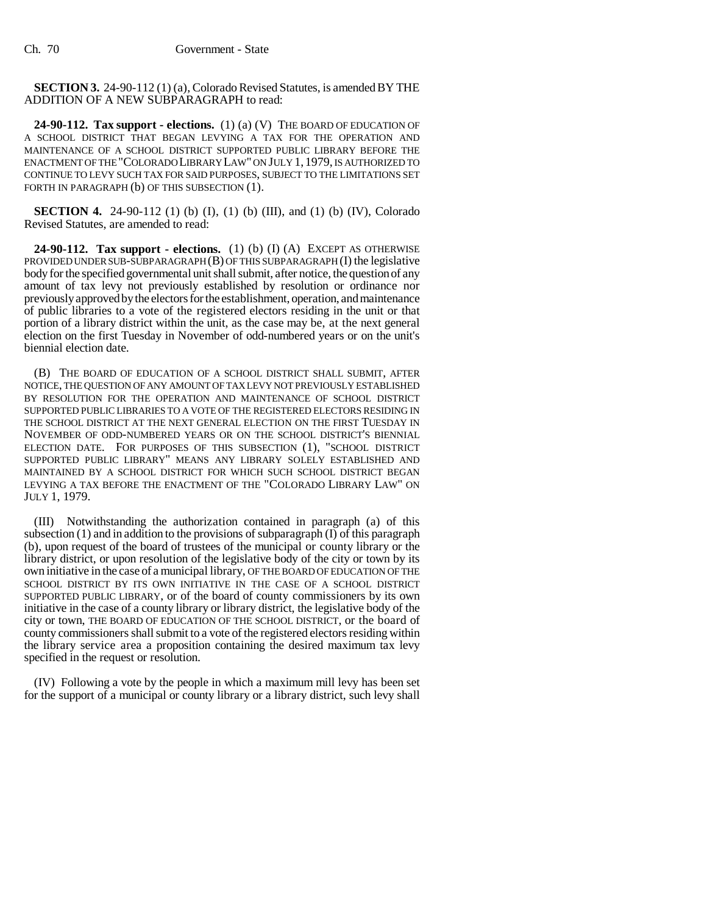**SECTION 3.** 24-90-112 (1) (a), Colorado Revised Statutes, is amended BY THE ADDITION OF A NEW SUBPARAGRAPH to read:

**24-90-112. Tax support - elections.** (1) (a) (V) THE BOARD OF EDUCATION OF A SCHOOL DISTRICT THAT BEGAN LEVYING A TAX FOR THE OPERATION AND MAINTENANCE OF A SCHOOL DISTRICT SUPPORTED PUBLIC LIBRARY BEFORE THE ENACTMENT OF THE "COLORADO LIBRARY LAW" ON JULY 1, 1979, IS AUTHORIZED TO CONTINUE TO LEVY SUCH TAX FOR SAID PURPOSES, SUBJECT TO THE LIMITATIONS SET FORTH IN PARAGRAPH (b) OF THIS SUBSECTION (1).

**SECTION 4.** 24-90-112 (1) (b) (I), (1) (b) (III), and (1) (b) (IV), Colorado Revised Statutes, are amended to read:

**24-90-112. Tax support - elections.** (1) (b) (I) (A) EXCEPT AS OTHERWISE PROVIDED UNDER SUB-SUBPARAGRAPH (B) OF THIS SUBPARAGRAPH (I) the legislative body for the specified governmental unit shall submit, after notice, the question of any amount of tax levy not previously established by resolution or ordinance nor previously approved by the electors for the establishment, operation, and maintenance of public libraries to a vote of the registered electors residing in the unit or that portion of a library district within the unit, as the case may be, at the next general election on the first Tuesday in November of odd-numbered years or on the unit's biennial election date.

(B) THE BOARD OF EDUCATION OF A SCHOOL DISTRICT SHALL SUBMIT, AFTER NOTICE, THE QUESTION OF ANY AMOUNT OF TAX LEVY NOT PREVIOUSLY ESTABLISHED BY RESOLUTION FOR THE OPERATION AND MAINTENANCE OF SCHOOL DISTRICT SUPPORTED PUBLIC LIBRARIES TO A VOTE OF THE REGISTERED ELECTORS RESIDING IN THE SCHOOL DISTRICT AT THE NEXT GENERAL ELECTION ON THE FIRST TUESDAY IN NOVEMBER OF ODD-NUMBERED YEARS OR ON THE SCHOOL DISTRICT'S BIENNIAL ELECTION DATE. FOR PURPOSES OF THIS SUBSECTION (1), "SCHOOL DISTRICT SUPPORTED PUBLIC LIBRARY" MEANS ANY LIBRARY SOLELY ESTABLISHED AND MAINTAINED BY A SCHOOL DISTRICT FOR WHICH SUCH SCHOOL DISTRICT BEGAN LEVYING A TAX BEFORE THE ENACTMENT OF THE "COLORADO LIBRARY LAW" ON JULY 1, 1979.

(III) Notwithstanding the authorization contained in paragraph (a) of this subsection  $(1)$  and in addition to the provisions of subparagraph  $(1)$  of this paragraph (b), upon request of the board of trustees of the municipal or county library or the library district, or upon resolution of the legislative body of the city or town by its own initiative in the case of a municipal library, OF THE BOARD OF EDUCATION OF THE SCHOOL DISTRICT BY ITS OWN INITIATIVE IN THE CASE OF A SCHOOL DISTRICT SUPPORTED PUBLIC LIBRARY, or of the board of county commissioners by its own initiative in the case of a county library or library district, the legislative body of the city or town, THE BOARD OF EDUCATION OF THE SCHOOL DISTRICT, or the board of county commissioners shall submit to a vote of the registered electors residing within the library service area a proposition containing the desired maximum tax levy specified in the request or resolution.

(IV) Following a vote by the people in which a maximum mill levy has been set for the support of a municipal or county library or a library district, such levy shall